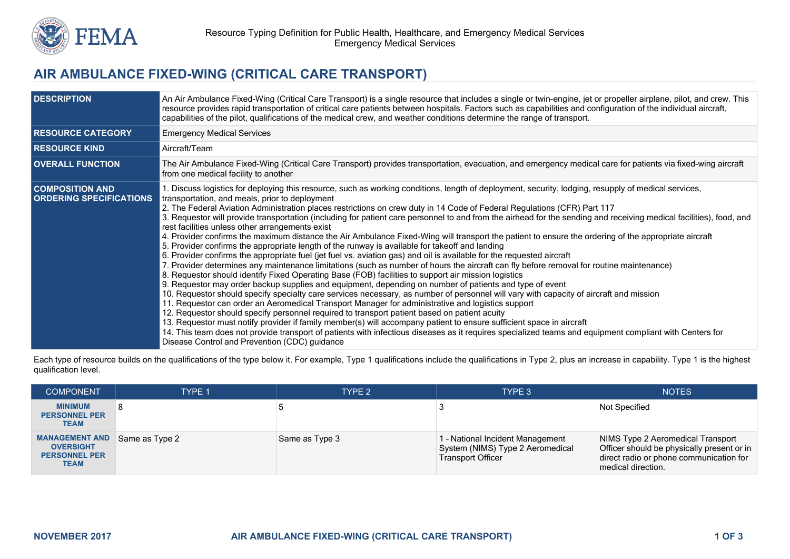

## **AIR AMBULANCE FIXED-WING (CRITICAL CARE TRANSPORT)**

| <b>DESCRIPTION</b>                                       | An Air Ambulance Fixed-Wing (Critical Care Transport) is a single resource that includes a single or twin-engine, jet or propeller airplane, pilot, and crew. This<br>resource provides rapid transportation of critical care patients between hospitals. Factors such as capabilities and configuration of the individual aircraft,<br>capabilities of the pilot, qualifications of the medical crew, and weather conditions determine the range of transport.                                                                                                                                                                                                                                                                                                                                                                                                                                                                                                                                                                                                                                                                                                                                                                                                                                                                                                                                                                                                                                                                                                                                                                                                                                                                                                                                                                                                                                                                                                                                  |
|----------------------------------------------------------|--------------------------------------------------------------------------------------------------------------------------------------------------------------------------------------------------------------------------------------------------------------------------------------------------------------------------------------------------------------------------------------------------------------------------------------------------------------------------------------------------------------------------------------------------------------------------------------------------------------------------------------------------------------------------------------------------------------------------------------------------------------------------------------------------------------------------------------------------------------------------------------------------------------------------------------------------------------------------------------------------------------------------------------------------------------------------------------------------------------------------------------------------------------------------------------------------------------------------------------------------------------------------------------------------------------------------------------------------------------------------------------------------------------------------------------------------------------------------------------------------------------------------------------------------------------------------------------------------------------------------------------------------------------------------------------------------------------------------------------------------------------------------------------------------------------------------------------------------------------------------------------------------------------------------------------------------------------------------------------------------|
| <b>RESOURCE CATEGORY</b>                                 | <b>Emergency Medical Services</b>                                                                                                                                                                                                                                                                                                                                                                                                                                                                                                                                                                                                                                                                                                                                                                                                                                                                                                                                                                                                                                                                                                                                                                                                                                                                                                                                                                                                                                                                                                                                                                                                                                                                                                                                                                                                                                                                                                                                                                |
| <b>RESOURCE KIND</b>                                     | Aircraft/Team                                                                                                                                                                                                                                                                                                                                                                                                                                                                                                                                                                                                                                                                                                                                                                                                                                                                                                                                                                                                                                                                                                                                                                                                                                                                                                                                                                                                                                                                                                                                                                                                                                                                                                                                                                                                                                                                                                                                                                                    |
| <b>OVERALL FUNCTION</b>                                  | The Air Ambulance Fixed-Wing (Critical Care Transport) provides transportation, evacuation, and emergency medical care for patients via fixed-wing aircraft<br>from one medical facility to another                                                                                                                                                                                                                                                                                                                                                                                                                                                                                                                                                                                                                                                                                                                                                                                                                                                                                                                                                                                                                                                                                                                                                                                                                                                                                                                                                                                                                                                                                                                                                                                                                                                                                                                                                                                              |
| <b>COMPOSITION AND</b><br><b>ORDERING SPECIFICATIONS</b> | 1. Discuss logistics for deploying this resource, such as working conditions, length of deployment, security, lodging, resupply of medical services,<br>transportation, and meals, prior to deployment<br>2. The Federal Aviation Administration places restrictions on crew duty in 14 Code of Federal Regulations (CFR) Part 117<br>3. Requestor will provide transportation (including for patient care personnel to and from the airhead for the sending and receiving medical facilities), food, and<br>rest facilities unless other arrangements exist<br>4. Provider confirms the maximum distance the Air Ambulance Fixed-Wing will transport the patient to ensure the ordering of the appropriate aircraft<br>5. Provider confirms the appropriate length of the runway is available for takeoff and landing<br>6. Provider confirms the appropriate fuel (jet fuel vs. aviation gas) and oil is available for the requested aircraft<br>7. Provider determines any maintenance limitations (such as number of hours the aircraft can fly before removal for routine maintenance)<br>8. Requestor should identify Fixed Operating Base (FOB) facilities to support air mission logistics<br>9. Requestor may order backup supplies and equipment, depending on number of patients and type of event<br>10. Requestor should specify specialty care services necessary, as number of personnel will vary with capacity of aircraft and mission<br>11. Requestor can order an Aeromedical Transport Manager for administrative and logistics support<br>12. Requestor should specify personnel required to transport patient based on patient acuity<br>13. Requestor must notify provider if family member(s) will accompany patient to ensure sufficient space in aircraft<br>14. This team does not provide transport of patients with infectious diseases as it requires specialized teams and equipment compliant with Centers for<br>Disease Control and Prevention (CDC) quidance |

Each type of resource builds on the qualifications of the type below it. For example, Type 1 qualifications include the qualifications in Type 2, plus an increase in capability. Type 1 is the highest qualification level.

| <b>COMPONENT</b>                                                                 | TYPE 1         | TYPE <sub>2</sub> | TYPE 3                                                                                           | <b>NOTES</b>                                                                                                                                     |
|----------------------------------------------------------------------------------|----------------|-------------------|--------------------------------------------------------------------------------------------------|--------------------------------------------------------------------------------------------------------------------------------------------------|
| <b>MINIMUM</b><br><b>PERSONNEL PER</b><br><b>TEAM</b>                            |                |                   |                                                                                                  | <b>Not Specified</b>                                                                                                                             |
| <b>MANAGEMENT AND</b><br><b>OVERSIGHT</b><br><b>PERSONNEL PER</b><br><b>TEAM</b> | Same as Type 2 | Same as Type 3    | 1 - National Incident Management<br>System (NIMS) Type 2 Aeromedical<br><b>Transport Officer</b> | NIMS Type 2 Aeromedical Transport<br>Officer should be physically present or in<br>direct radio or phone communication for<br>medical direction. |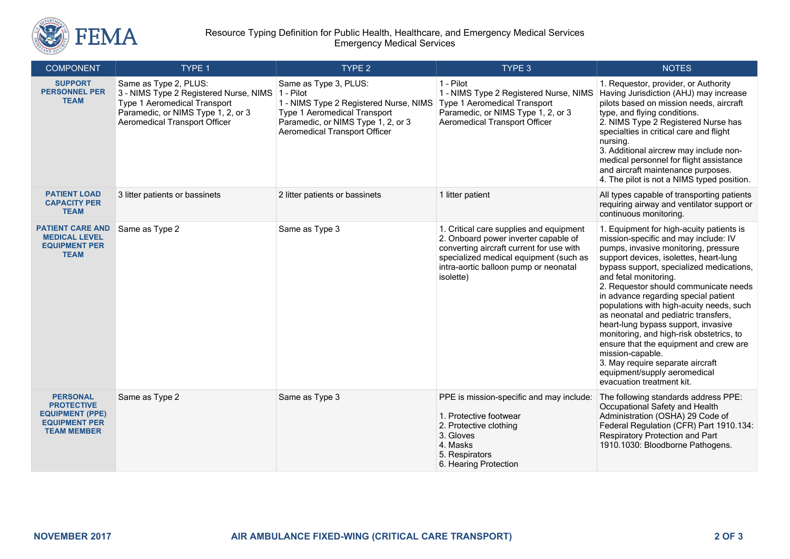

## Resource Typing Definition for Public Health, Healthcare, and Emergency Medical Services Emergency Medical Services

| <b>COMPONENT</b>                                                                                             | TYPE 1                                                                                                                                                                        | TYPE 2                                                                                                                                                                                            | TYPE 3                                                                                                                                                                                                                      | <b>NOTES</b>                                                                                                                                                                                                                                                                                                                                                                                                                                                                                                                                                                                                                                                   |
|--------------------------------------------------------------------------------------------------------------|-------------------------------------------------------------------------------------------------------------------------------------------------------------------------------|---------------------------------------------------------------------------------------------------------------------------------------------------------------------------------------------------|-----------------------------------------------------------------------------------------------------------------------------------------------------------------------------------------------------------------------------|----------------------------------------------------------------------------------------------------------------------------------------------------------------------------------------------------------------------------------------------------------------------------------------------------------------------------------------------------------------------------------------------------------------------------------------------------------------------------------------------------------------------------------------------------------------------------------------------------------------------------------------------------------------|
| <b>SUPPORT</b><br><b>PERSONNEL PER</b><br><b>TEAM</b>                                                        | Same as Type 2, PLUS:<br>3 - NIMS Type 2 Registered Nurse, NIMS<br>Type 1 Aeromedical Transport<br>Paramedic, or NIMS Type 1, 2, or 3<br><b>Aeromedical Transport Officer</b> | Same as Type 3, PLUS:<br>1 - Pilot<br>1 - NIMS Type 2 Registered Nurse, NIMS<br><b>Type 1 Aeromedical Transport</b><br>Paramedic, or NIMS Type 1, 2, or 3<br><b>Aeromedical Transport Officer</b> | 1 - Pilot<br>1 - NIMS Type 2 Registered Nurse, NIMS<br>Type 1 Aeromedical Transport<br>Paramedic, or NIMS Type 1, 2, or 3<br><b>Aeromedical Transport Officer</b>                                                           | 1. Requestor, provider, or Authority<br>Having Jurisdiction (AHJ) may increase<br>pilots based on mission needs, aircraft<br>type, and flying conditions.<br>2. NIMS Type 2 Registered Nurse has<br>specialties in critical care and flight<br>nursing.<br>3. Additional aircrew may include non-<br>medical personnel for flight assistance<br>and aircraft maintenance purposes.<br>4. The pilot is not a NIMS typed position.                                                                                                                                                                                                                               |
| <b>PATIENT LOAD</b><br><b>CAPACITY PER</b><br><b>TEAM</b>                                                    | 3 litter patients or bassinets                                                                                                                                                | 2 litter patients or bassinets                                                                                                                                                                    | 1 litter patient                                                                                                                                                                                                            | All types capable of transporting patients<br>requiring airway and ventilator support or<br>continuous monitoring.                                                                                                                                                                                                                                                                                                                                                                                                                                                                                                                                             |
| <b>PATIENT CARE AND</b><br><b>MEDICAL LEVEL</b><br><b>EQUIPMENT PER</b><br><b>TEAM</b>                       | Same as Type 2                                                                                                                                                                | Same as Type 3                                                                                                                                                                                    | 1. Critical care supplies and equipment<br>2. Onboard power inverter capable of<br>converting aircraft current for use with<br>specialized medical equipment (such as<br>intra-aortic balloon pump or neonatal<br>isolette) | 1. Equipment for high-acuity patients is<br>mission-specific and may include: IV<br>pumps, invasive monitoring, pressure<br>support devices, isolettes, heart-lung<br>bypass support, specialized medications,<br>and fetal monitoring.<br>2. Requestor should communicate needs<br>in advance regarding special patient<br>populations with high-acuity needs, such<br>as neonatal and pediatric transfers,<br>heart-lung bypass support, invasive<br>monitoring, and high-risk obstetrics, to<br>ensure that the equipment and crew are<br>mission-capable.<br>3. May require separate aircraft<br>equipment/supply aeromedical<br>evacuation treatment kit. |
| <b>PERSONAL</b><br><b>PROTECTIVE</b><br><b>EQUIPMENT (PPE)</b><br><b>EQUIPMENT PER</b><br><b>TEAM MEMBER</b> | Same as Type 2                                                                                                                                                                | Same as Type 3                                                                                                                                                                                    | PPE is mission-specific and may include:<br>1. Protective footwear<br>2. Protective clothing<br>3. Gloves<br>4. Masks<br>5. Respirators<br>6. Hearing Protection                                                            | The following standards address PPE:<br>Occupational Safety and Health<br>Administration (OSHA) 29 Code of<br>Federal Regulation (CFR) Part 1910.134:<br>Respiratory Protection and Part<br>1910.1030: Bloodborne Pathogens.                                                                                                                                                                                                                                                                                                                                                                                                                                   |